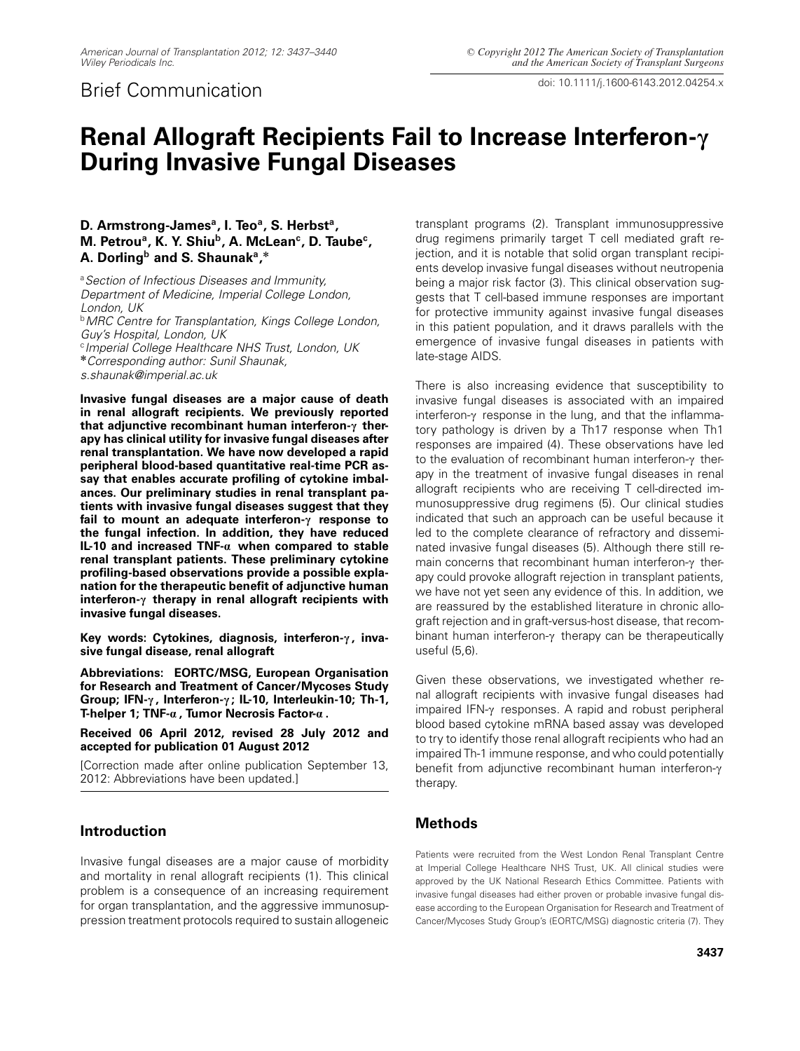doi: 10.1111/j.1600-6143.2012.04254.x Brief Communication

# **Renal Allograft Recipients Fail to Increase Interferon-c During Invasive Fungal Diseases**

### D. Armstrong-James<sup>a</sup>, I. Teo<sup>a</sup>, S. Herbst<sup>a</sup>, M. Petrou<sup>a</sup>, K. Y. Shiu<sup>b</sup>, A. McLean<sup>c</sup>, D. Taube<sup>c</sup>, **A. Dorlingb and S. Shaunaka,\***

<sup>a</sup>*Section of Infectious Diseases and Immunity, Department of Medicine, Imperial College London, London, UK*

<sup>b</sup>*MRC Centre for Transplantation, Kings College London, Guy's Hospital, London, UK* <sup>c</sup>*Imperial College Healthcare NHS Trust, London, UK* **\****Corresponding author: Sunil Shaunak,*

*s.shaunak@imperial.ac.uk*

**Invasive fungal diseases are a major cause of death in renal allograft recipients. We previously reported that adjunctive recombinant human interferon-c therapy has clinical utility for invasive fungal diseases after renal transplantation. We have now developed a rapid peripheral blood-based quantitative real-time PCR assay that enables accurate profiling of cytokine imbalances. Our preliminary studies in renal transplant patients with invasive fungal diseases suggest that they fail to mount an adequate interferon-c response to the fungal infection. In addition, they have reduced IL-10 and increased TNF-a when compared to stable renal transplant patients. These preliminary cytokine profiling-based observations provide a possible explanation for the therapeutic benefit of adjunctive human interferon-c therapy in renal allograft recipients with invasive fungal diseases.**

Key words: Cytokines, diagnosis, interferon- $\gamma$ , inva**sive fungal disease, renal allograft**

**Abbreviations: EORTC/MSG, European Organisation for Research and Treatment of Cancer/Mycoses Study Group; IFN-c , Interferon-c ; IL-10, Interleukin-10; Th-1, T-helper 1; TNF-a , Tumor Necrosis Factor-a .**

**Received 06 April 2012, revised 28 July 2012 and accepted for publication 01 August 2012**

[Correction made after online publication September 13, 2012: Abbreviations have been updated.]

## **Introduction**

Invasive fungal diseases are a major cause of morbidity and mortality in renal allograft recipients (1). This clinical problem is a consequence of an increasing requirement for organ transplantation, and the aggressive immunosuppression treatment protocols required to sustain allogeneic transplant programs (2). Transplant immunosuppressive drug regimens primarily target T cell mediated graft rejection, and it is notable that solid organ transplant recipients develop invasive fungal diseases without neutropenia being a major risk factor (3). This clinical observation suggests that T cell-based immune responses are important for protective immunity against invasive fungal diseases in this patient population, and it draws parallels with the emergence of invasive fungal diseases in patients with late-stage AIDS.

There is also increasing evidence that susceptibility to invasive fungal diseases is associated with an impaired interferon- $\gamma$  response in the lung, and that the inflammatory pathology is driven by a Th17 response when Th1 responses are impaired (4). These observations have led to the evaluation of recombinant human interferon- $\gamma$  therapy in the treatment of invasive fungal diseases in renal allograft recipients who are receiving T cell-directed immunosuppressive drug regimens (5). Our clinical studies indicated that such an approach can be useful because it led to the complete clearance of refractory and disseminated invasive fungal diseases (5). Although there still remain concerns that recombinant human interferon- $\gamma$  therapy could provoke allograft rejection in transplant patients, we have not yet seen any evidence of this. In addition, we are reassured by the established literature in chronic allograft rejection and in graft-versus-host disease, that recombinant human interferon- $\gamma$  therapy can be therapeutically useful (5,6).

Given these observations, we investigated whether renal allograft recipients with invasive fungal diseases had impaired  $IFN-\gamma$  responses. A rapid and robust peripheral blood based cytokine mRNA based assay was developed to try to identify those renal allograft recipients who had an impaired Th-1 immune response, and who could potentially benefit from adjunctive recombinant human interferon- $\gamma$ therapy.

## **Methods**

Patients were recruited from the West London Renal Transplant Centre at Imperial College Healthcare NHS Trust, UK. All clinical studies were approved by the UK National Research Ethics Committee. Patients with invasive fungal diseases had either proven or probable invasive fungal disease according to the European Organisation for Research and Treatment of Cancer/Mycoses Study Group's (EORTC/MSG) diagnostic criteria (7). They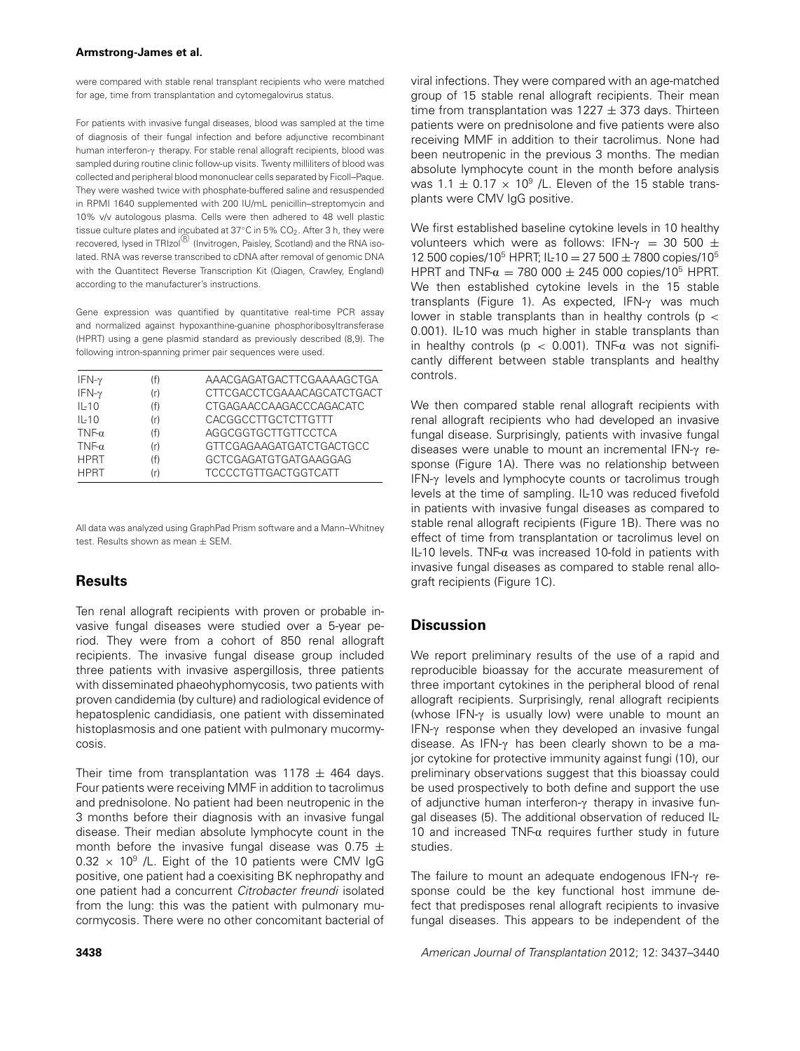were compared with stable renal transplant recipients who were matched for age, time from transplantation and cytomegalovirus status.

For patients with invasive fungal diseases, blood was sampled at the time of diagnosis of their fungal infection and before adjunctive recombinant human interferon- $\gamma$  therapy. For stable renal allograft recipients, blood was sampled during routine clinic follow-up visits. Twenty milliliters of blood was collected and peripheral blood mononuclear cells separated by Ficoll–Paque. They were washed twice with phosphate-buffered saline and resuspended in RPMI 1640 supplemented with 200 IU/mL penicillin–streptomycin and 10% v/v autologous plasma. Cells were then adhered to 48 well plastic tissue culture plates and incubated at 37℃ in 5% CO<sub>2</sub>. After 3 h, they were recovered, lysed in TRIzol $^{\text{\textregistered}}$  (Invitrogen, Paisley, Scotland) and the RNA isolated. RNA was reverse transcribed to cDNA after removal of genomic DNA with the Quantitect Reverse Transcription Kit (Qiagen, Crawley, England) according to the manufacturer's instructions.

Gene expression was quantified by quantitative real-time PCR assay and normalized against hypoxanthine-guanine phosphoribosyltransferase (HPRT) using a gene plasmid standard as previously described (8,9). The following intron-spanning primer pair sequences were used.

| IFN- $\gamma$ | (f) | AAACGAGATGACTTCGAAAAGCTGA         |
|---------------|-----|-----------------------------------|
| $IFN-\gamma$  | (r) | <b>CTTCGACCTCGAAACAGCATCTGACT</b> |
| $IL-10$       | (f) | CTGAGAACCAAGACCCAGACATC           |
| $IL-10$       | (r) | CACGGCCTTGCTCTTGTTT               |
| TNF- $\alpha$ | (f) | AGGCGGTGCTTGTTCCTCA               |
| $TNF-\alpha$  | (r) | GTTCGAGAAGATGATCTGACTGCC          |
| <b>HPRT</b>   | (f) | GCTCGAGATGTGATGAAGGAG             |
| <b>HPRT</b>   | (r) | <b>TCCCCTGTTGACTGGTCATT</b>       |

All data was analyzed using GraphPad Prism software and a Mann–Whitney test. Results shown as mean ± SEM.

## **Results**

Ten renal allograft recipients with proven or probable invasive fungal diseases were studied over a 5-year period. They were from a cohort of 850 renal allograft recipients. The invasive fungal disease group included three patients with invasive aspergillosis, three patients with disseminated phaeohyphomycosis, two patients with proven candidemia (by culture) and radiological evidence of hepatosplenic candidiasis, one patient with disseminated histoplasmosis and one patient with pulmonary mucormycosis.

Their time from transplantation was  $1178 \pm 464$  days. Four patients were receiving MMF in addition to tacrolimus and prednisolone. No patient had been neutropenic in the 3 months before their diagnosis with an invasive fungal disease. Their median absolute lymphocyte count in the month before the invasive fungal disease was 0.75  $\pm$  $0.32 \times 10^9$  /L. Eight of the 10 patients were CMV IgG positive, one patient had a coexisiting BK nephropathy and one patient had a concurrent *Citrobacter freundi* isolated from the lung: this was the patient with pulmonary mucormycosis. There were no other concomitant bacterial of We first established baseline cytokine levels in 10 healthy volunteers which were as follows: IFN- $\gamma$  = 30 500  $\pm$ 12 500 copies/10<sup>5</sup> HPRT; IL-10 = 27 500 ± 7800 copies/10<sup>5</sup> HPRT and TNF- $\alpha$  = 780 000  $\pm$  245 000 copies/10<sup>5</sup> HPRT. We then established cytokine levels in the 15 stable transplants (Figure 1). As expected,  $IFN-\gamma$  was much lower in stable transplants than in healthy controls (p *<* 0.001). IL-10 was much higher in stable transplants than in healthy controls ( $p < 0.001$ ). TNF- $\alpha$  was not significantly different between stable transplants and healthy controls.

We then compared stable renal allograft recipients with renal allograft recipients who had developed an invasive fungal disease. Surprisingly, patients with invasive fungal diseases were unable to mount an incremental IFN- $\gamma$  response (Figure 1A). There was no relationship between IFN- $\gamma$  levels and lymphocyte counts or tacrolimus trough levels at the time of sampling. IL-10 was reduced fivefold in patients with invasive fungal diseases as compared to stable renal allograft recipients (Figure 1B). There was no effect of time from transplantation or tacrolimus level on IL-10 levels. TNF- $\alpha$  was increased 10-fold in patients with invasive fungal diseases as compared to stable renal allograft recipients (Figure 1C).

## **Discussion**

We report preliminary results of the use of a rapid and reproducible bioassay for the accurate measurement of three important cytokines in the peripheral blood of renal allograft recipients. Surprisingly, renal allograft recipients (whose IFN- $\gamma$  is usually low) were unable to mount an IFN- $\gamma$  response when they developed an invasive fungal disease. As IFN- $\gamma$  has been clearly shown to be a major cytokine for protective immunity against fungi (10), our preliminary observations suggest that this bioassay could be used prospectively to both define and support the use of adjunctive human interferon- $\gamma$  therapy in invasive fungal diseases (5). The additional observation of reduced IL-10 and increased TNF- $\alpha$  requires further study in future studies.

The failure to mount an adequate endogenous  $IFN-\gamma$  response could be the key functional host immune defect that predisposes renal allograft recipients to invasive fungal diseases. This appears to be independent of the

**3438** *American Journal of Transplantation* 2012; 12: 3437–3440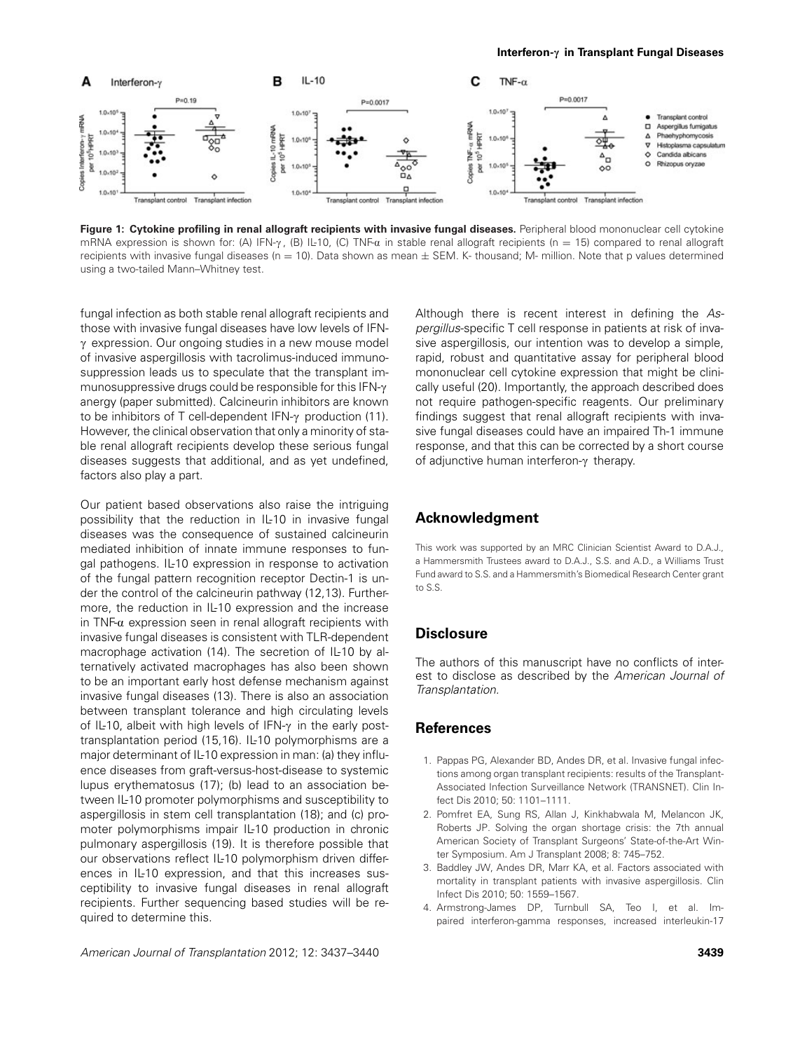

**Figure 1: Cytokine profiling in renal allograft recipients with invasive fungal diseases.** Peripheral blood mononuclear cell cytokine mRNA expression is shown for: (A) IFN- $\gamma$ , (B) IL-10, (C) TNF- $\alpha$  in stable renal allograft recipients (n = 15) compared to renal allograft recipients with invasive fungal diseases ( $n = 10$ ). Data shown as mean  $\pm$  SEM. K- thousand; M- million. Note that p values determined using a two-tailed Mann–Whitney test.

fungal infection as both stable renal allograft recipients and those with invasive fungal diseases have low levels of IFN- $\gamma$  expression. Our ongoing studies in a new mouse model of invasive aspergillosis with tacrolimus-induced immunosuppression leads us to speculate that the transplant immunosuppressive drugs could be responsible for this  $IFN-\gamma$ anergy (paper submitted). Calcineurin inhibitors are known to be inhibitors of T cell-dependent  $IFN-\gamma$  production (11). However, the clinical observation that only a minority of stable renal allograft recipients develop these serious fungal diseases suggests that additional, and as yet undefined, factors also play a part.

Our patient based observations also raise the intriguing possibility that the reduction in IL-10 in invasive fungal diseases was the consequence of sustained calcineurin mediated inhibition of innate immune responses to fungal pathogens. IL-10 expression in response to activation of the fungal pattern recognition receptor Dectin-1 is under the control of the calcineurin pathway (12,13). Furthermore, the reduction in IL-10 expression and the increase in TNF- $\alpha$  expression seen in renal allograft recipients with invasive fungal diseases is consistent with TLR-dependent macrophage activation (14). The secretion of IL-10 by alternatively activated macrophages has also been shown to be an important early host defense mechanism against invasive fungal diseases (13). There is also an association between transplant tolerance and high circulating levels of IL-10, albeit with high levels of IFN- $\gamma$  in the early posttransplantation period (15,16). IL-10 polymorphisms are a major determinant of IL-10 expression in man: (a) they influence diseases from graft-versus-host-disease to systemic lupus erythematosus (17); (b) lead to an association between IL-10 promoter polymorphisms and susceptibility to aspergillosis in stem cell transplantation (18); and (c) promoter polymorphisms impair IL-10 production in chronic pulmonary aspergillosis (19). It is therefore possible that our observations reflect IL-10 polymorphism driven differences in IL-10 expression, and that this increases susceptibility to invasive fungal diseases in renal allograft recipients. Further sequencing based studies will be required to determine this.

*American Journal of Transplantation* 2012; 12: 3437–3440 **3439**

Although there is recent interest in defining the *Aspergillus*-specific T cell response in patients at risk of invasive aspergillosis, our intention was to develop a simple, rapid, robust and quantitative assay for peripheral blood mononuclear cell cytokine expression that might be clinically useful (20). Importantly, the approach described does not require pathogen-specific reagents. Our preliminary findings suggest that renal allograft recipients with invasive fungal diseases could have an impaired Th-1 immune response, and that this can be corrected by a short course of adjunctive human interferon- $\gamma$  therapy.

#### **Acknowledgment**

This work was supported by an MRC Clinician Scientist Award to D.A.J., a Hammersmith Trustees award to D.A.J., S.S. and A.D., a Williams Trust Fund award to S.S. and a Hammersmith's Biomedical Research Center grant to S.S.

#### **Disclosure**

The authors of this manuscript have no conflicts of interest to disclose as described by the *American Journal of Transplantation.*

#### **References**

- 1. Pappas PG, Alexander BD, Andes DR, et al. Invasive fungal infections among organ transplant recipients: results of the Transplant-Associated Infection Surveillance Network (TRANSNET). Clin Infect Dis 2010; 50: 1101–1111.
- 2. Pomfret EA, Sung RS, Allan J, Kinkhabwala M, Melancon JK, Roberts JP. Solving the organ shortage crisis: the 7th annual American Society of Transplant Surgeons' State-of-the-Art Winter Symposium. Am J Transplant 2008; 8: 745–752.
- 3. Baddley JW, Andes DR, Marr KA, et al. Factors associated with mortality in transplant patients with invasive aspergillosis. Clin Infect Dis 2010; 50: 1559–1567.
- 4. Armstrong-James DP, Turnbull SA, Teo I, et al. Impaired interferon-gamma responses, increased interleukin-17